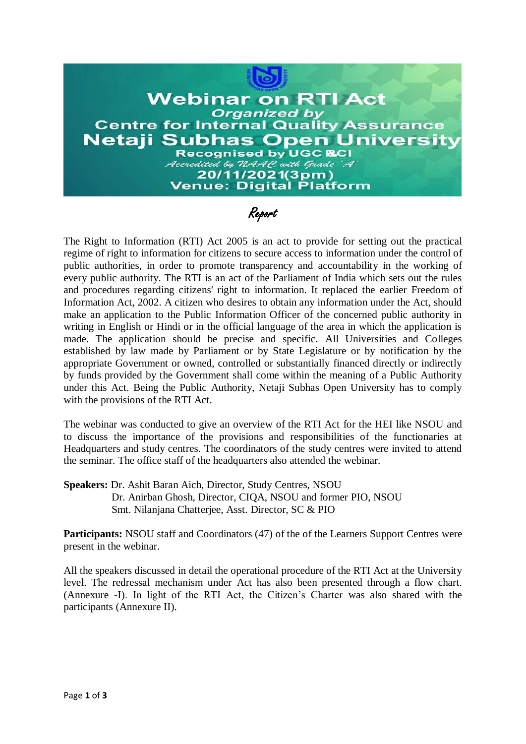

Report

The Right to Information (RTI) Act 2005 is an act to provide for setting out the practical regime of right to information for citizens to secure access to information under the control of public authorities, in order to promote transparency and accountability in the working of every public authority. The RTI is an act of the Parliament of India which sets out the rules and procedures regarding citizens' right to information. It replaced the earlier Freedom of Information Act, 2002. A citizen who desires to obtain any information under the Act, should make an application to the Public Information Officer of the concerned public authority in writing in English or Hindi or in the official language of the area in which the application is made. The application should be precise and specific. All Universities and Colleges established by law made by Parliament or by State Legislature or by notification by the appropriate Government or owned, controlled or substantially financed directly or indirectly by funds provided by the Government shall come within the meaning of a Public Authority under this Act. Being the Public Authority, Netaji Subhas Open University has to comply with the provisions of the RTI Act.

The webinar was conducted to give an overview of the RTI Act for the HEI like NSOU and to discuss the importance of the provisions and responsibilities of the functionaries at Headquarters and study centres. The coordinators of the study centres were invited to attend the seminar. The office staff of the headquarters also attended the webinar.

**Speakers:** Dr. Ashit Baran Aich, Director, Study Centres, NSOU Dr. Anirban Ghosh, Director, CIQA, NSOU and former PIO, NSOU Smt. Nilanjana Chatterjee, Asst. Director, SC & PIO

**Participants:** NSOU staff and Coordinators (47) of the of the Learners Support Centres were present in the webinar.

All the speakers discussed in detail the operational procedure of the RTI Act at the University level. The redressal mechanism under Act has also been presented through a flow chart. (Annexure -I). In light of the RTI Act, the Citizen's Charter was also shared with the participants (Annexure II).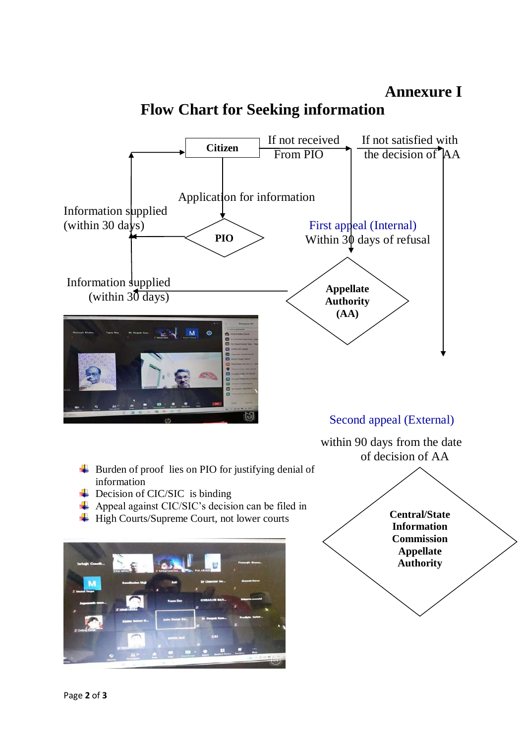

# **Flow Chart for Seeking information**